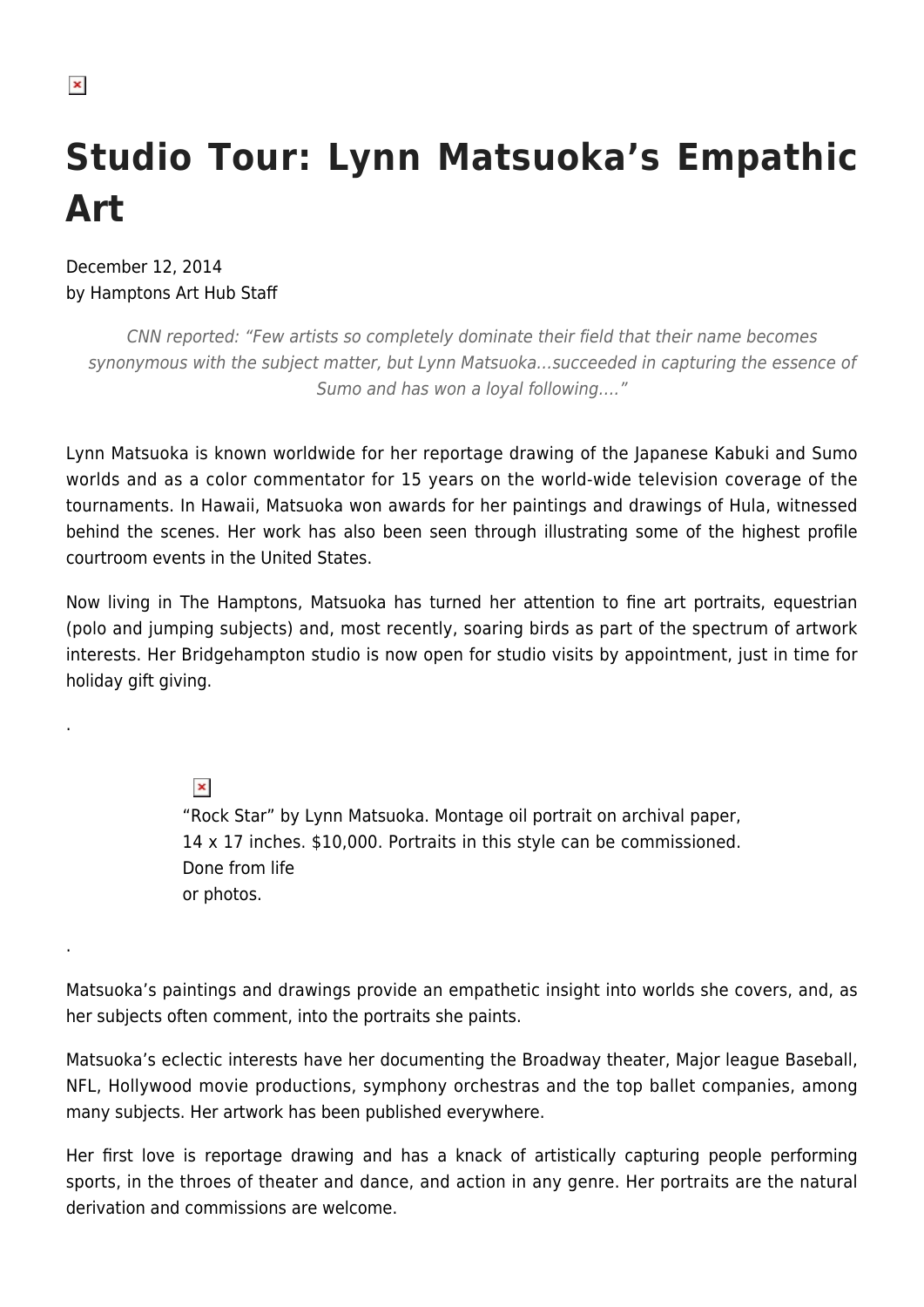.

.

# **Studio Tour: Lynn Matsuoka's Empathic Art**

December 12, 2014 by Hamptons Art Hub Staff

CNN reported: "Few artists so completely dominate their field that their name becomes synonymous with the subject matter, but Lynn Matsuoka…succeeded in capturing the essence of Sumo and has won a loyal following…."

Lynn Matsuoka is known worldwide for her reportage drawing of the Japanese Kabuki and Sumo worlds and as a color commentator for 15 years on the world-wide television coverage of the tournaments. In Hawaii, Matsuoka won awards for her paintings and drawings of Hula, witnessed behind the scenes. Her work has also been seen through illustrating some of the highest profile courtroom events in the United States.

Now living in The Hamptons, Matsuoka has turned her attention to fine art portraits, equestrian (polo and jumping subjects) and, most recently, soaring birds as part of the spectrum of artwork interests. Her Bridgehampton studio is now open for studio visits by appointment, just in time for holiday gift giving.

> $\pmb{\times}$ "Rock Star" by Lynn Matsuoka. Montage oil portrait on archival paper, 14 x 17 inches. \$10,000. Portraits in this style can be commissioned. Done from life or photos.

Matsuoka's paintings and drawings provide an empathetic insight into worlds she covers, and, as her subjects often comment, into the portraits she paints.

Matsuoka's eclectic interests have her documenting the Broadway theater, Major league Baseball, NFL, Hollywood movie productions, symphony orchestras and the top ballet companies, among many subjects. Her artwork has been published everywhere.

Her first love is reportage drawing and has a knack of artistically capturing people performing sports, in the throes of theater and dance, and action in any genre. Her portraits are the natural derivation and commissions are welcome.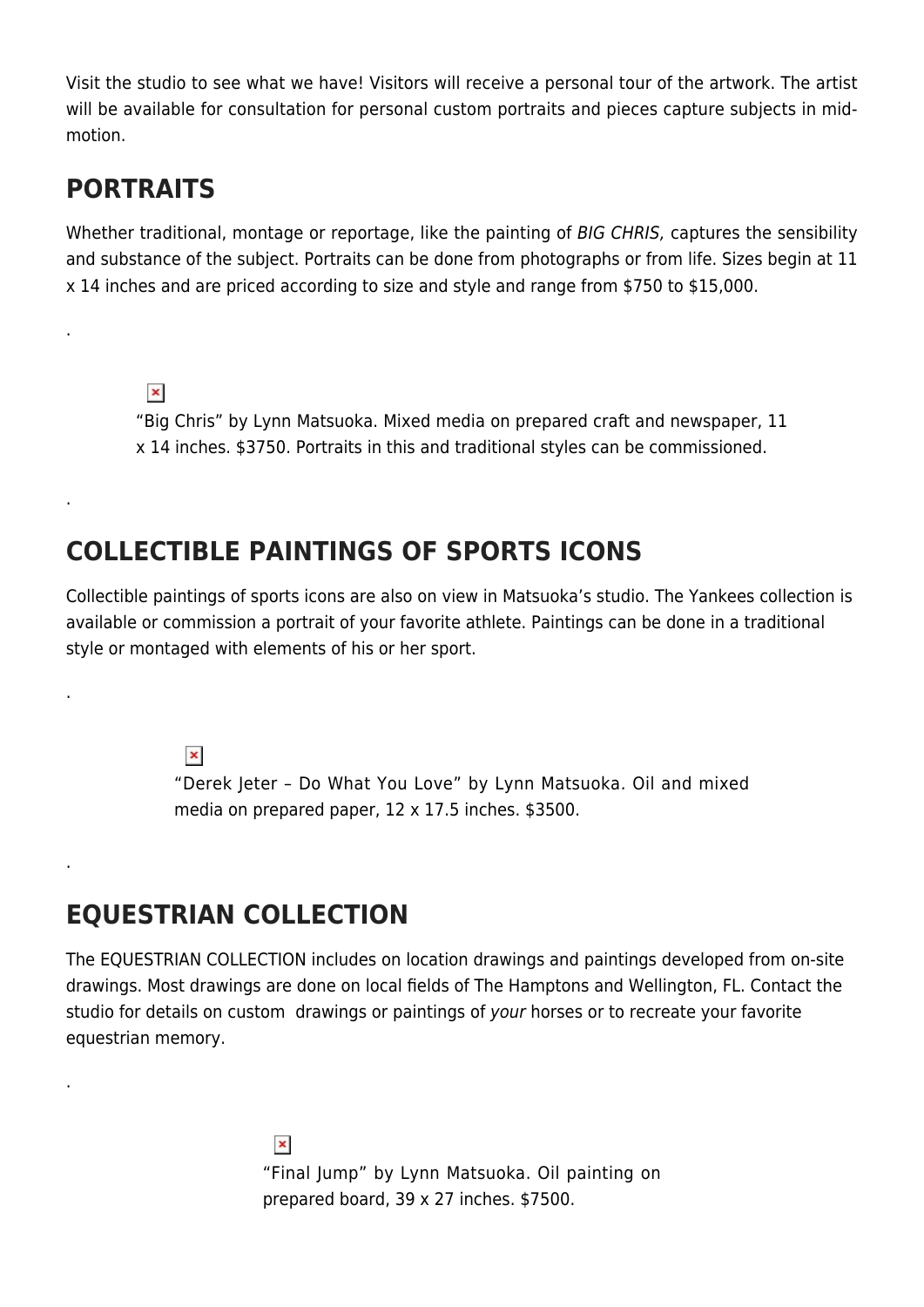Visit the studio to see what we have! Visitors will receive a personal tour of the artwork. The artist will be available for consultation for personal custom portraits and pieces capture subjects in midmotion.

### **PORTRAITS**

.

.

.

.

.

Whether traditional, montage or reportage, like the painting of BIG CHRIS, captures the sensibility and substance of the subject. Portraits can be done from photographs or from life. Sizes begin at 11 x 14 inches and are priced according to size and style and range from \$750 to \$15,000.

 $\pmb{\times}$ "Big Chris" by Lynn Matsuoka. Mixed media on prepared craft and newspaper, 11 x 14 inches. \$3750. Portraits in this and traditional styles can be commissioned.

## **COLLECTIBLE PAINTINGS OF SPORTS ICONS**

Collectible paintings of sports icons are also on view in Matsuoka's studio. The Yankees collection is available or commission a portrait of your favorite athlete. Paintings can be done in a traditional style or montaged with elements of his or her sport.

 $\pmb{\times}$ 

"Derek Jeter – Do What You Love" by Lynn Matsuoka. Oil and mixed media on prepared paper, 12 x 17.5 inches. \$3500.

### **EQUESTRIAN COLLECTION**

The EQUESTRIAN COLLECTION includes on location drawings and paintings developed from on-site drawings. Most drawings are done on local fields of The Hamptons and Wellington, FL. Contact the studio for details on custom drawings or paintings of your horses or to recreate your favorite equestrian memory.

> $\pmb{\times}$ "Final Jump" by Lynn Matsuoka. Oil painting on prepared board, 39 x 27 inches. \$7500.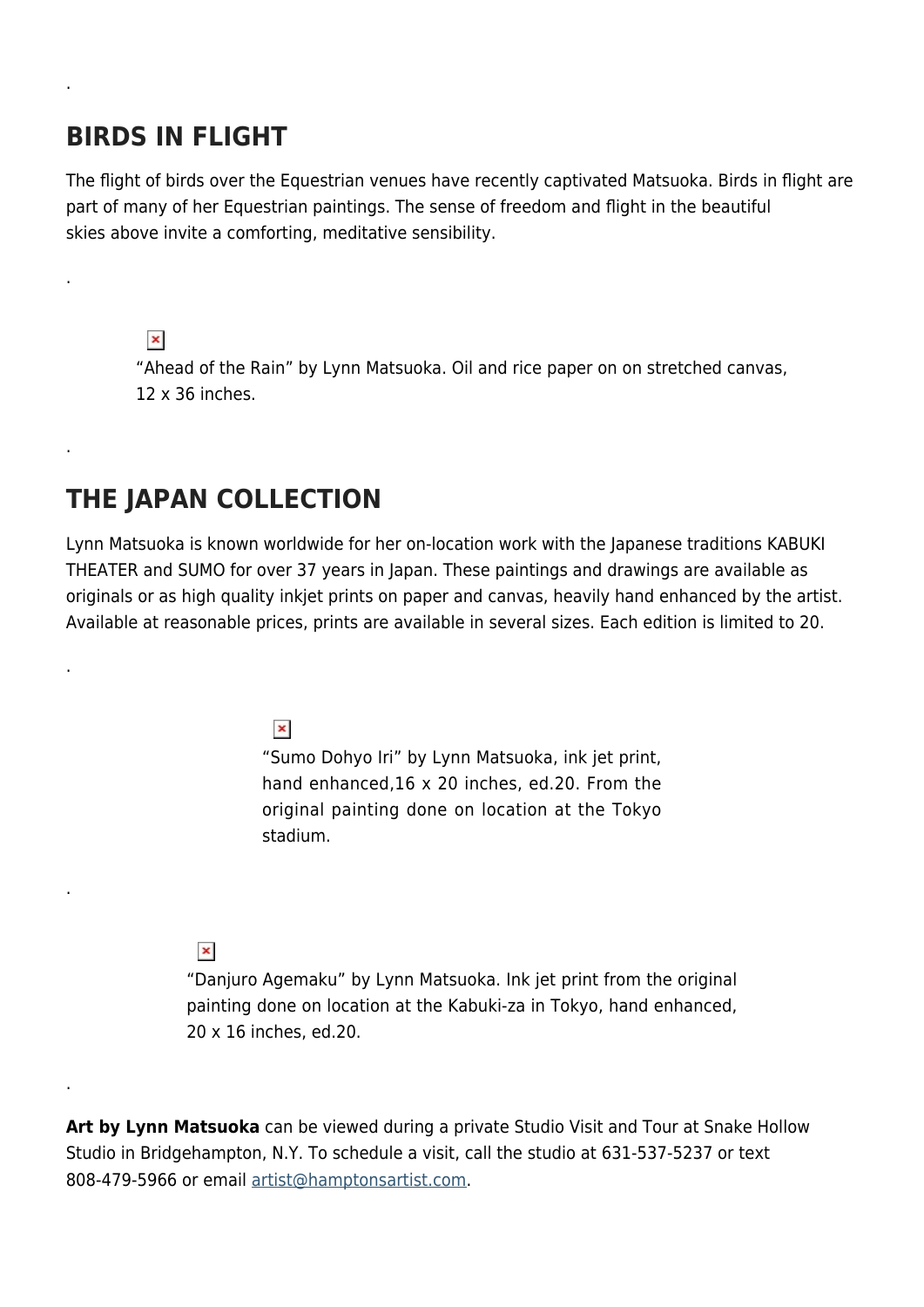#### **BIRDS IN FLIGHT**

.

.

.

.

.

.

The flight of birds over the Equestrian venues have recently captivated Matsuoka. Birds in flight are part of many of her Equestrian paintings. The sense of freedom and flight in the beautiful skies above invite a comforting, meditative sensibility.

 $\pmb{\times}$ 

"Ahead of the Rain" by Lynn Matsuoka. Oil and rice paper on on stretched canvas, 12 x 36 inches.

# **THE JAPAN COLLECTION**

Lynn Matsuoka is known worldwide for her on-location work with the Japanese traditions KABUKI THEATER and SUMO for over 37 years in Japan. These paintings and drawings are available as originals or as high quality inkjet prints on paper and canvas, heavily hand enhanced by the artist. Available at reasonable prices, prints are available in several sizes. Each edition is limited to 20.

 $\pmb{\times}$ 

"Sumo Dohyo Iri" by Lynn Matsuoka, ink jet print, hand enhanced,16 x 20 inches, ed.20. From the original painting done on location at the Tokyo stadium.

#### $\pmb{\times}$

"Danjuro Agemaku" by Lynn Matsuoka. Ink jet print from the original painting done on location at the Kabuki-za in Tokyo, hand enhanced, 20 x 16 inches, ed.20.

**Art by Lynn Matsuoka** can be viewed during a private Studio Visit and Tour at Snake Hollow Studio in Bridgehampton, N.Y. To schedule a visit, call the studio at 631-537-5237 or text 808-479-5966 or email [artist@hamptonsartist.com.](mailto:artist@hamptonsartist.com)